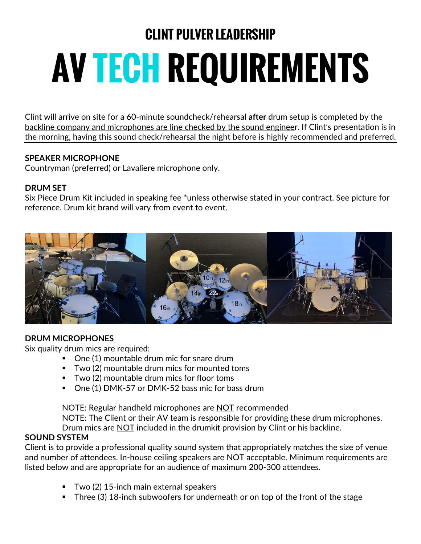# **CLINT PULVER LEADERSHIP AV TECH REQUIREMENTS**

Clint will arrive on site for a 60-minute soundcheck/rehearsal **after** drum setup is completed by the backline company and microphones are line checked by the sound engineer. If Clint's presentation is in the morning, having this sound check/rehearsal the night before is highly recommended and preferred.

# **SPEAKER MICROPHONE**

Countryman (preferred) or Lavaliere microphone only.

#### **DRUM SET**

Six Piece Drum Kit included in speaking fee \*unless otherwise stated in your contract. See picture for reference. Drum kit brand will vary from event to event.



#### **DRUM MICROPHONES**

Six quality drum mics are required:

- One (1) mountable drum mic for snare drum
- Two (2) mountable drum mics for mounted toms
- Two (2) mountable drum mics for floor toms
- One (1) DMK-57 or DMK-52 bass mic for bass drum

NOTE: Regular handheld microphones are NOT recommended NOTE: The Client or their AV team is responsible for providing these drum microphones. Drum mics are NOT included in the drumkit provision by Clint or his backline.

#### **SOUND SYSTEM**

Client is to provide a professional quality sound system that appropriately matches the size of venue and number of attendees. In-house ceiling speakers are NOT acceptable. Minimum requirements are listed below and are appropriate for an audience of maximum 200-300 attendees.

- § Two (2) 15-inch main external speakers
- § Three (3) 18-inch subwoofers for underneath or on top of the front of the stage